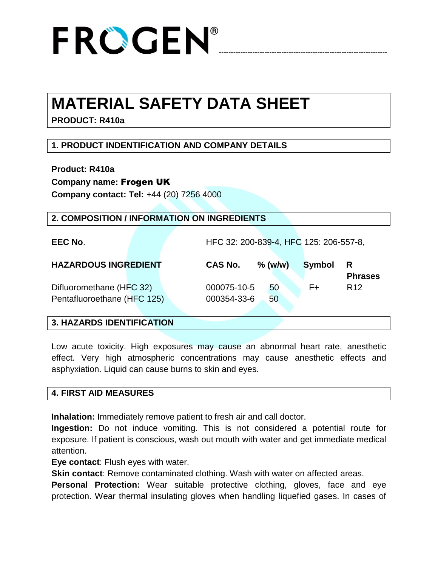

## **MATERIAL SAFETY DATA SHEET**

**PRODUCT: R410a**

## **1. PRODUCT INDENTIFICATION AND COMPANY DETAILS**

**Product: R410a**

**Company name:** Frogen UK

**Company contact: Tel:** +44 (20) 7256 4000

#### **2. COMPOSITION / INFORMATION ON INGREDIENTS**

**EEC No**. HFC 32: 200-839-4, HFC 125: 206-557-8,

| <b>HAZARDOUS INGREDIENT</b> | <b>CAS No.</b> | $%$ (w/w) | <b>Symbol</b> | R<br><b>Phrases</b> |
|-----------------------------|----------------|-----------|---------------|---------------------|
| Difluoromethane (HFC 32)    | 000075-10-5    | 50        | F+            | R <sub>12</sub>     |
| Pentafluoroethane (HFC 125) | 000354-33-6    | 50        |               |                     |

#### **3. HAZARDS IDENTIFICATION**

Low acute toxicity. High exposures may cause an abnormal heart rate, anesthetic effect. Very high atmospheric concentrations may cause anesthetic effects and asphyxiation. Liquid can cause burns to skin and eyes.

#### **4. FIRST AID MEASURES**

**Inhalation:** Immediately remove patient to fresh air and call doctor.

**Ingestion:** Do not induce vomiting. This is not considered a potential route for exposure. If patient is conscious, wash out mouth with water and get immediate medical attention.

**Eye contact**: Flush eyes with water.

**Skin contact**: Remove contaminated clothing. Wash with water on affected areas.

**Personal Protection:** Wear suitable protective clothing, gloves, face and eye protection. Wear thermal insulating gloves when handling liquefied gases. In cases of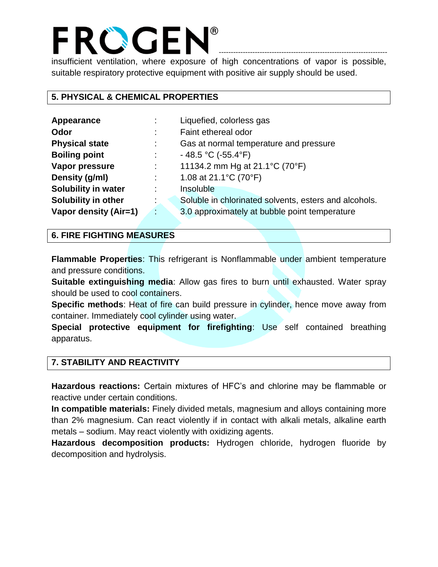insufficient ventilation, where exposure of high concentrations of vapor is possible, suitable respiratory protective equipment with positive air supply should be used.

----------------------------------------------------------------------

#### **5. PHYSICAL & CHEMICAL PROPERTIES**

| Appearance                 |    | Liquefied, colorless gas                              |
|----------------------------|----|-------------------------------------------------------|
| Odor                       | ÷  | Faint ethereal odor                                   |
| <b>Physical state</b>      | ÷  | Gas at normal temperature and pressure                |
| <b>Boiling point</b>       |    | $-48.5$ °C (-55.4°F)                                  |
| Vapor pressure             | ÷  | 11134.2 mm Hg at 21.1°C (70°F)                        |
| Density (g/ml)             | ÷  | 1.08 at $21.1^{\circ}$ C (70 $^{\circ}$ F)            |
| <b>Solubility in water</b> |    | Insoluble                                             |
| Solubility in other        | ÷  | Soluble in chlorinated solvents, esters and alcohols. |
| Vapor density (Air=1)      | G. | 3.0 approximately at bubble point temperature         |

#### **6. FIRE FIGHTING MEASURES**

**Flammable Properties**: This refrigerant is Nonflammable under ambient temperature and pressure conditions.

**Suitable extinguishing media**: Allow gas fires to burn until exhausted. Water spray should be used to cool containers.

**Specific methods**: Heat of fire can build pressure in cylinder, hence move away from container. Immediately cool cylinder using water.

**Special protective equipment for firefighting**: Use self contained breathing apparatus.

#### **7. STABILITY AND REACTIVITY**

**Hazardous reactions:** Certain mixtures of HFC's and chlorine may be flammable or reactive under certain conditions.

**In compatible materials:** Finely divided metals, magnesium and alloys containing more than 2% magnesium. Can react violently if in contact with alkali metals, alkaline earth metals – sodium. May react violently with oxidizing agents.

**Hazardous decomposition products:** Hydrogen chloride, hydrogen fluoride by decomposition and hydrolysis.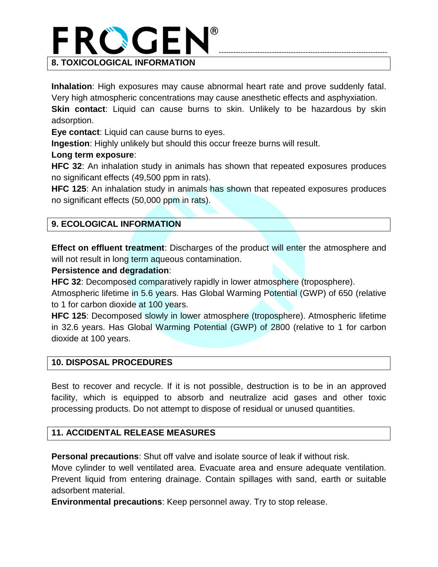

**Inhalation**: High exposures may cause abnormal heart rate and prove suddenly fatal. Very high atmospheric concentrations may cause anesthetic effects and asphyxiation. **Skin contact**: Liquid can cause burns to skin. Unlikely to be hazardous by skin adsorption.

**Eye contact**: Liquid can cause burns to eyes.

**Ingestion**: Highly unlikely but should this occur freeze burns will result.

#### **Long term exposure**:

**HFC 32**: An inhalation study in animals has shown that repeated exposures produces no significant effects (49,500 ppm in rats).

**HFC 125**: An inhalation study in animals has shown that repeated exposures produces no significant effects (50,000 ppm in rats).

#### **9. ECOLOGICAL INFORMATION**

**Effect on effluent treatment**: Discharges of the product will enter the atmosphere and will not result in long term aqueous contamination.

#### **Persistence and degradation**:

**HFC 32**: Decomposed comparatively rapidly in lower atmosphere (troposphere).

Atmospheric lifetime in 5.6 years. Has Global Warming Potential (GWP) of 650 (relative to 1 for carbon dioxide at 100 years.

**HFC 125**: Decomposed slowly in lower atmosphere (troposphere). Atmospheric lifetime in 32.6 years. Has Global Warming Potential (GWP) of 2800 (relative to 1 for carbon dioxide at 100 years.

#### **10. DISPOSAL PROCEDURES**

Best to recover and recycle. If it is not possible, destruction is to be in an approved facility, which is equipped to absorb and neutralize acid gases and other toxic processing products. Do not attempt to dispose of residual or unused quantities.

#### **11. ACCIDENTAL RELEASE MEASURES**

**Personal precautions**: Shut off valve and isolate source of leak if without risk.

Move cylinder to well ventilated area. Evacuate area and ensure adequate ventilation. Prevent liquid from entering drainage. Contain spillages with sand, earth or suitable adsorbent material.

**Environmental precautions**: Keep personnel away. Try to stop release.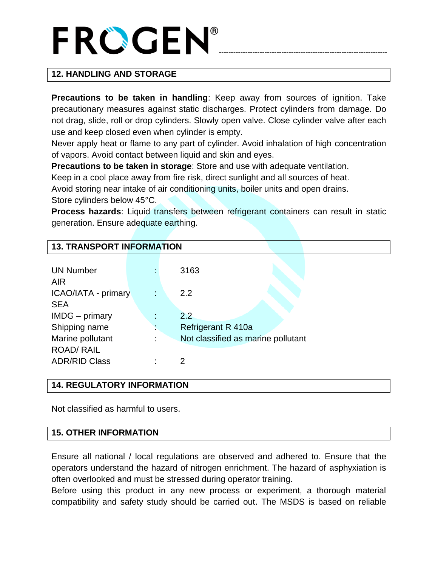# ----------------------------------------------------------------------

## **12. HANDLING AND STORAGE**

**Precautions to be taken in handling**: Keep away from sources of ignition. Take precautionary measures against static discharges. Protect cylinders from damage. Do not drag, slide, roll or drop cylinders. Slowly open valve. Close cylinder valve after each use and keep closed even when cylinder is empty.

Never apply heat or flame to any part of cylinder. Avoid inhalation of high concentration of vapors. Avoid contact between liquid and skin and eyes.

**Precautions to be taken in storage**: Store and use with adequate ventilation.

Keep in a cool place away from fire risk, direct sunlight and all sources of heat.

Avoid storing near intake of air conditioning units, boiler units and open drains. Store cylinders below 45°C.

**Process hazards**: Liquid transfers between refrigerant containers can result in static generation. Ensure adequate earthing.

| <b>13. TRANSPORT INFORMATION</b> |   |                                    |  |  |  |
|----------------------------------|---|------------------------------------|--|--|--|
|                                  |   |                                    |  |  |  |
| <b>UN Number</b>                 |   | 3163                               |  |  |  |
| <b>AIR</b>                       |   |                                    |  |  |  |
| ICAO/IATA - primary              | ÷ | 2.2                                |  |  |  |
| <b>SEA</b>                       |   |                                    |  |  |  |
| IMDG - primary                   |   | 2.2                                |  |  |  |
| Shipping name                    |   | Refrigerant R 410a                 |  |  |  |
| Marine pollutant                 |   | Not classified as marine pollutant |  |  |  |
| <b>ROAD/ RAIL</b>                |   |                                    |  |  |  |
| <b>ADR/RID Class</b>             |   | 2                                  |  |  |  |

#### **14. REGULATORY INFORMATION**

Not classified as harmful to users.

#### **15. OTHER INFORMATION**

Ensure all national / local regulations are observed and adhered to. Ensure that the operators understand the hazard of nitrogen enrichment. The hazard of asphyxiation is often overlooked and must be stressed during operator training.

Before using this product in any new process or experiment, a thorough material compatibility and safety study should be carried out. The MSDS is based on reliable